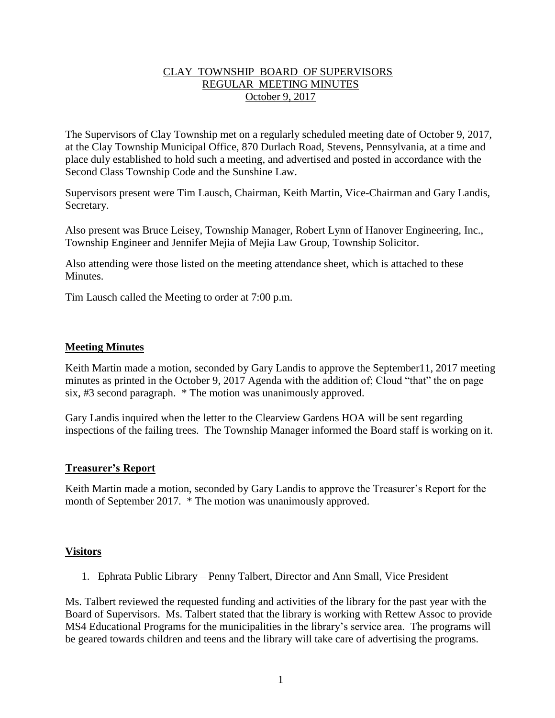## CLAY TOWNSHIP BOARD OF SUPERVISORS REGULAR MEETING MINUTES October 9, 2017

The Supervisors of Clay Township met on a regularly scheduled meeting date of October 9, 2017, at the Clay Township Municipal Office, 870 Durlach Road, Stevens, Pennsylvania, at a time and place duly established to hold such a meeting, and advertised and posted in accordance with the Second Class Township Code and the Sunshine Law.

Supervisors present were Tim Lausch, Chairman, Keith Martin, Vice-Chairman and Gary Landis, Secretary.

Also present was Bruce Leisey, Township Manager, Robert Lynn of Hanover Engineering, Inc., Township Engineer and Jennifer Mejia of Mejia Law Group, Township Solicitor.

Also attending were those listed on the meeting attendance sheet, which is attached to these **Minutes** 

Tim Lausch called the Meeting to order at 7:00 p.m.

## **Meeting Minutes**

Keith Martin made a motion, seconded by Gary Landis to approve the September 11, 2017 meeting minutes as printed in the October 9, 2017 Agenda with the addition of; Cloud "that" the on page six, #3 second paragraph. \* The motion was unanimously approved.

Gary Landis inquired when the letter to the Clearview Gardens HOA will be sent regarding inspections of the failing trees. The Township Manager informed the Board staff is working on it.

#### **Treasurer's Report**

Keith Martin made a motion, seconded by Gary Landis to approve the Treasurer's Report for the month of September 2017. \* The motion was unanimously approved.

#### **Visitors**

1. Ephrata Public Library – Penny Talbert, Director and Ann Small, Vice President

Ms. Talbert reviewed the requested funding and activities of the library for the past year with the Board of Supervisors. Ms. Talbert stated that the library is working with Rettew Assoc to provide MS4 Educational Programs for the municipalities in the library's service area. The programs will be geared towards children and teens and the library will take care of advertising the programs.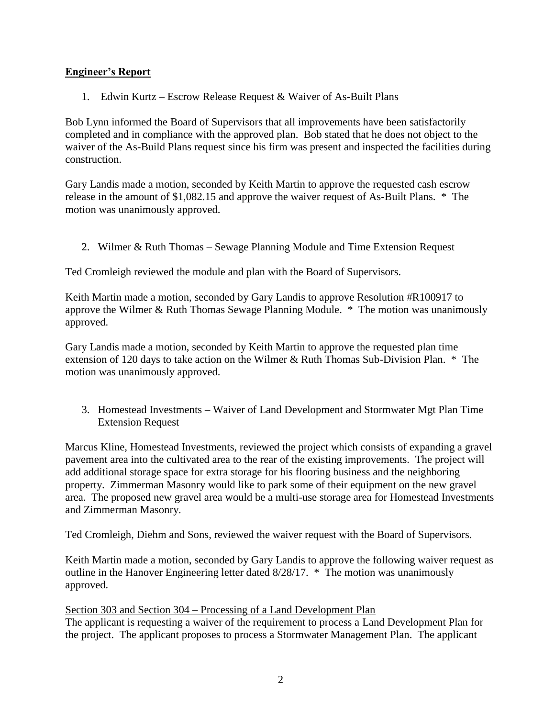# **Engineer's Report**

1. Edwin Kurtz – Escrow Release Request & Waiver of As-Built Plans

Bob Lynn informed the Board of Supervisors that all improvements have been satisfactorily completed and in compliance with the approved plan. Bob stated that he does not object to the waiver of the As-Build Plans request since his firm was present and inspected the facilities during construction.

Gary Landis made a motion, seconded by Keith Martin to approve the requested cash escrow release in the amount of \$1,082.15 and approve the waiver request of As-Built Plans. \* The motion was unanimously approved.

2. Wilmer & Ruth Thomas – Sewage Planning Module and Time Extension Request

Ted Cromleigh reviewed the module and plan with the Board of Supervisors.

Keith Martin made a motion, seconded by Gary Landis to approve Resolution #R100917 to approve the Wilmer & Ruth Thomas Sewage Planning Module. \* The motion was unanimously approved.

Gary Landis made a motion, seconded by Keith Martin to approve the requested plan time extension of 120 days to take action on the Wilmer & Ruth Thomas Sub-Division Plan. \* The motion was unanimously approved.

3. Homestead Investments – Waiver of Land Development and Stormwater Mgt Plan Time Extension Request

Marcus Kline, Homestead Investments, reviewed the project which consists of expanding a gravel pavement area into the cultivated area to the rear of the existing improvements. The project will add additional storage space for extra storage for his flooring business and the neighboring property. Zimmerman Masonry would like to park some of their equipment on the new gravel area. The proposed new gravel area would be a multi-use storage area for Homestead Investments and Zimmerman Masonry.

Ted Cromleigh, Diehm and Sons, reviewed the waiver request with the Board of Supervisors.

Keith Martin made a motion, seconded by Gary Landis to approve the following waiver request as outline in the Hanover Engineering letter dated 8/28/17. \* The motion was unanimously approved.

Section 303 and Section 304 – Processing of a Land Development Plan The applicant is requesting a waiver of the requirement to process a Land Development Plan for the project. The applicant proposes to process a Stormwater Management Plan. The applicant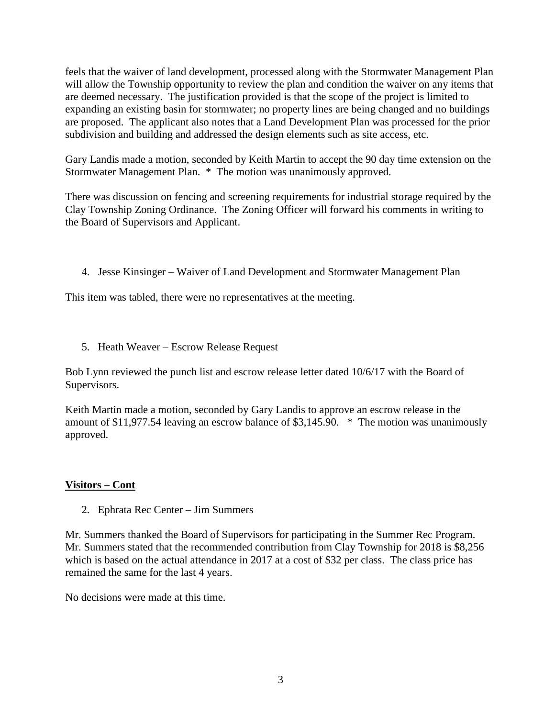feels that the waiver of land development, processed along with the Stormwater Management Plan will allow the Township opportunity to review the plan and condition the waiver on any items that are deemed necessary. The justification provided is that the scope of the project is limited to expanding an existing basin for stormwater; no property lines are being changed and no buildings are proposed. The applicant also notes that a Land Development Plan was processed for the prior subdivision and building and addressed the design elements such as site access, etc.

Gary Landis made a motion, seconded by Keith Martin to accept the 90 day time extension on the Stormwater Management Plan. \* The motion was unanimously approved.

There was discussion on fencing and screening requirements for industrial storage required by the Clay Township Zoning Ordinance. The Zoning Officer will forward his comments in writing to the Board of Supervisors and Applicant.

4. Jesse Kinsinger – Waiver of Land Development and Stormwater Management Plan

This item was tabled, there were no representatives at the meeting.

5. Heath Weaver – Escrow Release Request

Bob Lynn reviewed the punch list and escrow release letter dated 10/6/17 with the Board of Supervisors.

Keith Martin made a motion, seconded by Gary Landis to approve an escrow release in the amount of \$11,977.54 leaving an escrow balance of \$3,145.90. \* The motion was unanimously approved.

# **Visitors – Cont**

2. Ephrata Rec Center – Jim Summers

Mr. Summers thanked the Board of Supervisors for participating in the Summer Rec Program. Mr. Summers stated that the recommended contribution from Clay Township for 2018 is \$8,256 which is based on the actual attendance in 2017 at a cost of \$32 per class. The class price has remained the same for the last 4 years.

No decisions were made at this time.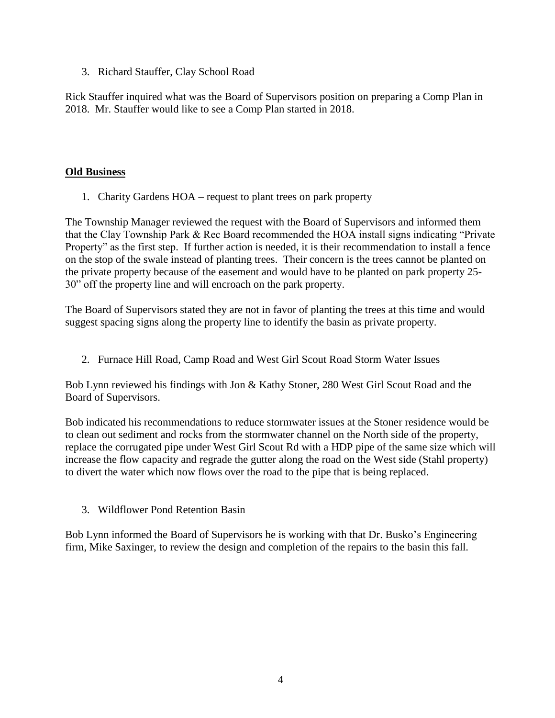3. Richard Stauffer, Clay School Road

Rick Stauffer inquired what was the Board of Supervisors position on preparing a Comp Plan in 2018. Mr. Stauffer would like to see a Comp Plan started in 2018.

# **Old Business**

1. Charity Gardens HOA – request to plant trees on park property

The Township Manager reviewed the request with the Board of Supervisors and informed them that the Clay Township Park & Rec Board recommended the HOA install signs indicating "Private Property" as the first step. If further action is needed, it is their recommendation to install a fence on the stop of the swale instead of planting trees. Their concern is the trees cannot be planted on the private property because of the easement and would have to be planted on park property 25- 30" off the property line and will encroach on the park property.

The Board of Supervisors stated they are not in favor of planting the trees at this time and would suggest spacing signs along the property line to identify the basin as private property.

2. Furnace Hill Road, Camp Road and West Girl Scout Road Storm Water Issues

Bob Lynn reviewed his findings with Jon & Kathy Stoner, 280 West Girl Scout Road and the Board of Supervisors.

Bob indicated his recommendations to reduce stormwater issues at the Stoner residence would be to clean out sediment and rocks from the stormwater channel on the North side of the property, replace the corrugated pipe under West Girl Scout Rd with a HDP pipe of the same size which will increase the flow capacity and regrade the gutter along the road on the West side (Stahl property) to divert the water which now flows over the road to the pipe that is being replaced.

3. Wildflower Pond Retention Basin

Bob Lynn informed the Board of Supervisors he is working with that Dr. Busko's Engineering firm, Mike Saxinger, to review the design and completion of the repairs to the basin this fall.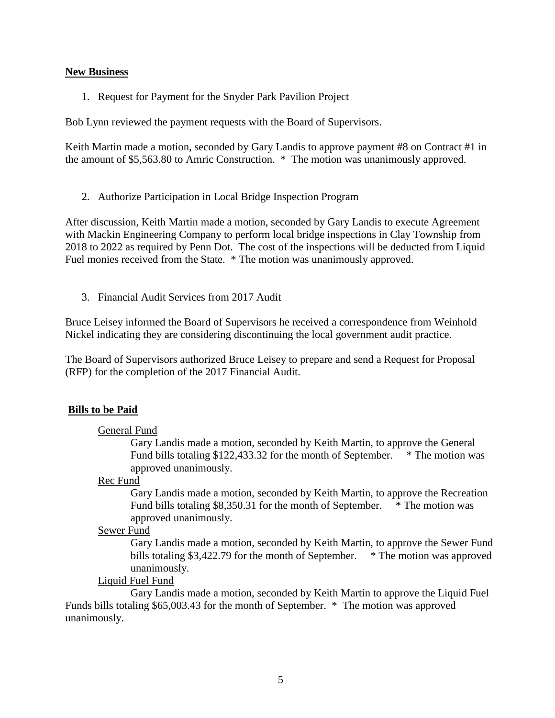#### **New Business**

1. Request for Payment for the Snyder Park Pavilion Project

Bob Lynn reviewed the payment requests with the Board of Supervisors.

Keith Martin made a motion, seconded by Gary Landis to approve payment #8 on Contract #1 in the amount of \$5,563.80 to Amric Construction. \* The motion was unanimously approved.

2. Authorize Participation in Local Bridge Inspection Program

After discussion, Keith Martin made a motion, seconded by Gary Landis to execute Agreement with Mackin Engineering Company to perform local bridge inspections in Clay Township from 2018 to 2022 as required by Penn Dot. The cost of the inspections will be deducted from Liquid Fuel monies received from the State. \* The motion was unanimously approved.

3. Financial Audit Services from 2017 Audit

Bruce Leisey informed the Board of Supervisors he received a correspondence from Weinhold Nickel indicating they are considering discontinuing the local government audit practice.

The Board of Supervisors authorized Bruce Leisey to prepare and send a Request for Proposal (RFP) for the completion of the 2017 Financial Audit.

#### **Bills to be Paid**

#### General Fund

Gary Landis made a motion, seconded by Keith Martin, to approve the General Fund bills totaling \$122,433.32 for the month of September. \* The motion was approved unanimously.

#### Rec Fund

Gary Landis made a motion, seconded by Keith Martin, to approve the Recreation Fund bills totaling \$8,350.31 for the month of September. \* The motion was approved unanimously.

#### Sewer Fund

Gary Landis made a motion, seconded by Keith Martin, to approve the Sewer Fund bills totaling \$3,422.79 for the month of September. \* The motion was approved unanimously.

#### Liquid Fuel Fund

Gary Landis made a motion, seconded by Keith Martin to approve the Liquid Fuel Funds bills totaling \$65,003.43 for the month of September. \* The motion was approved unanimously.